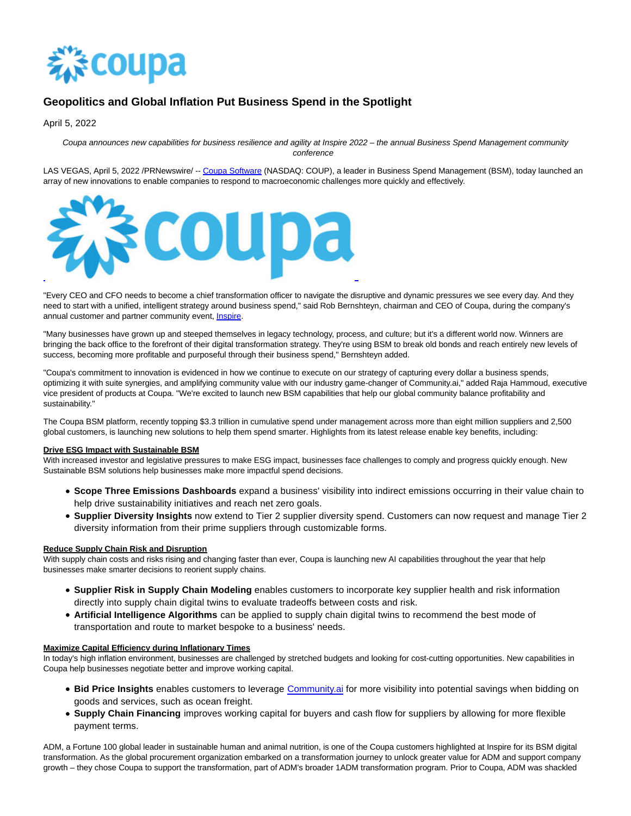

# **Geopolitics and Global Inflation Put Business Spend in the Spotlight**

April 5, 2022

Coupa announces new capabilities for business resilience and agility at Inspire 2022 – the annual Business Spend Management community conference

LAS VEGAS, April 5, 2022 /PRNewswire/ -- [Coupa Software \(](https://c212.net/c/link/?t=0&l=en&o=3494092-1&h=2544355447&u=http%3A%2F%2Fwww.coupa.com%2F&a=Coupa+Software)NASDAQ: COUP), a leader in Business Spend Management (BSM), today launched an array of new innovations to enable companies to respond to macroeconomic challenges more quickly and effectively.



"Every CEO and CFO needs to become a chief transformation officer to navigate the disruptive and dynamic pressures we see every day. And they need to start with a unified, intelligent strategy around business spend," said Rob Bernshteyn, chairman and CEO of Coupa, during the company's annual customer and partner community event, **Inspire**.

"Many businesses have grown up and steeped themselves in legacy technology, process, and culture; but it's a different world now. Winners are bringing the back office to the forefront of their digital transformation strategy. They're using BSM to break old bonds and reach entirely new levels of success, becoming more profitable and purposeful through their business spend," Bernshteyn added.

"Coupa's commitment to innovation is evidenced in how we continue to execute on our strategy of capturing every dollar a business spends, optimizing it with suite synergies, and amplifying community value with our industry game-changer of Community.ai," added Raja Hammoud, executive vice president of products at Coupa. "We're excited to launch new BSM capabilities that help our global community balance profitability and sustainability."

The Coupa BSM platform, recently topping \$3.3 trillion in cumulative spend under management across more than eight million suppliers and 2,500 global customers, is launching new solutions to help them spend smarter. Highlights from its latest release enable key benefits, including:

## **Drive ESG Impact with Sustainable BSM**

With increased investor and legislative pressures to make ESG impact, businesses face challenges to comply and progress quickly enough. New Sustainable BSM solutions help businesses make more impactful spend decisions.

- **Scope Three Emissions Dashboards** expand a business' visibility into indirect emissions occurring in their value chain to help drive sustainability initiatives and reach net zero goals.
- **Supplier Diversity Insights** now extend to Tier 2 supplier diversity spend. Customers can now request and manage Tier 2 diversity information from their prime suppliers through customizable forms.

## **Reduce Supply Chain Risk and Disruption**

With supply chain costs and risks rising and changing faster than ever, Coupa is launching new AI capabilities throughout the year that help businesses make smarter decisions to reorient supply chains.

- **Supplier Risk in Supply Chain Modeling** enables customers to incorporate key supplier health and risk information directly into supply chain digital twins to evaluate tradeoffs between costs and risk.
- **Artificial Intelligence Algorithms** can be applied to supply chain digital twins to recommend the best mode of transportation and route to market bespoke to a business' needs.

## **Maximize Capital Efficiency during Inflationary Times**

In today's high inflation environment, businesses are challenged by stretched budgets and looking for cost-cutting opportunities. New capabilities in Coupa help businesses negotiate better and improve working capital.

- **Bid Price Insights** enables customers to leverage [Community.ai f](https://c212.net/c/link/?t=0&l=en&o=3494092-1&h=225977749&u=http%3A%2F%2Fcommunity.ai%2F&a=Community.ai)or more visibility into potential savings when bidding on goods and services, such as ocean freight.
- **Supply Chain Financing** improves working capital for buyers and cash flow for suppliers by allowing for more flexible payment terms.

ADM, a Fortune 100 global leader in sustainable human and animal nutrition, is one of the Coupa customers highlighted at Inspire for its BSM digital transformation. As the global procurement organization embarked on a transformation journey to unlock greater value for ADM and support company growth – they chose Coupa to support the transformation, part of ADM's broader 1ADM transformation program. Prior to Coupa, ADM was shackled